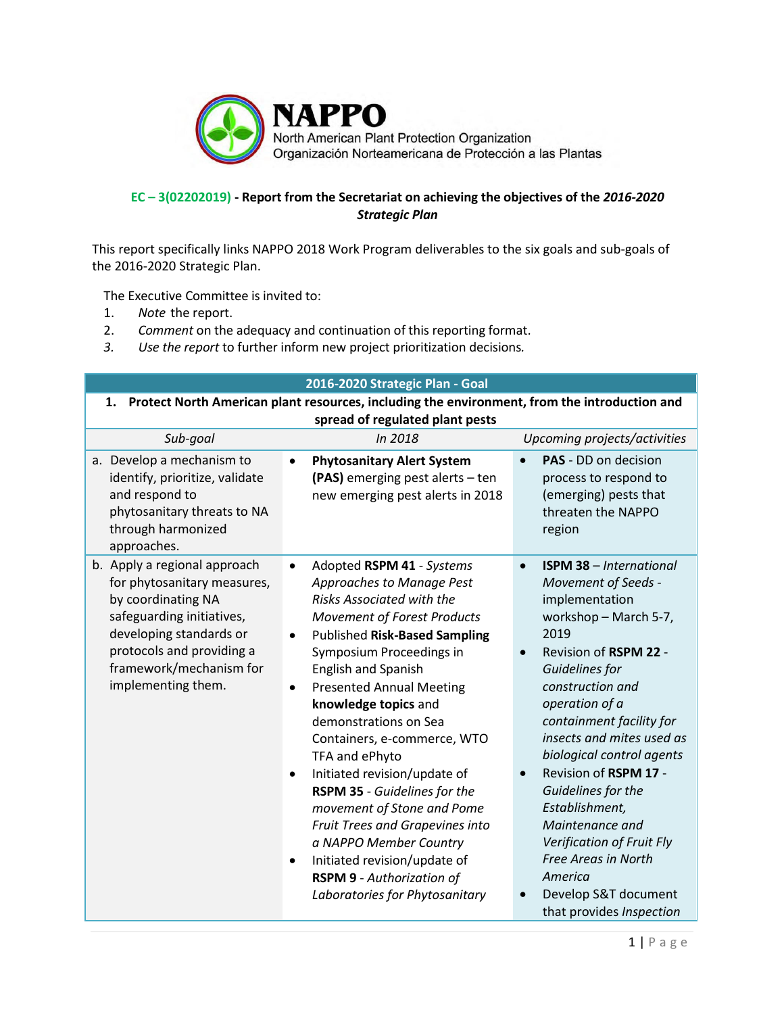

## **EC – 3(02202019) - Report from the Secretariat on achieving the objectives of the** *2016-2020 Strategic Plan*

This report specifically links NAPPO 2018 Work Program deliverables to the six goals and sub-goals of the 2016-2020 Strategic Plan.

The Executive Committee is invited to:

- 1. *Note* the report.
- 2. *Comment* on the adequacy and continuation of this reporting format.
- *3. Use the report* to further inform new project prioritization decisions*.*

| 2016-2020 Strategic Plan - Goal                                                                                                                                                                                         |                                                                                                                                                                                                                                                                                                                                                                                                                                                                                                                                                                                                                                                                                                   |                                                                                                                                                                                                                                                                                                                                                                                                                                                                                                                  |
|-------------------------------------------------------------------------------------------------------------------------------------------------------------------------------------------------------------------------|---------------------------------------------------------------------------------------------------------------------------------------------------------------------------------------------------------------------------------------------------------------------------------------------------------------------------------------------------------------------------------------------------------------------------------------------------------------------------------------------------------------------------------------------------------------------------------------------------------------------------------------------------------------------------------------------------|------------------------------------------------------------------------------------------------------------------------------------------------------------------------------------------------------------------------------------------------------------------------------------------------------------------------------------------------------------------------------------------------------------------------------------------------------------------------------------------------------------------|
| Protect North American plant resources, including the environment, from the introduction and<br>1.<br>spread of regulated plant pests                                                                                   |                                                                                                                                                                                                                                                                                                                                                                                                                                                                                                                                                                                                                                                                                                   |                                                                                                                                                                                                                                                                                                                                                                                                                                                                                                                  |
| Sub-goal                                                                                                                                                                                                                | In 2018                                                                                                                                                                                                                                                                                                                                                                                                                                                                                                                                                                                                                                                                                           | Upcoming projects/activities                                                                                                                                                                                                                                                                                                                                                                                                                                                                                     |
| a. Develop a mechanism to<br>identify, prioritize, validate<br>and respond to<br>phytosanitary threats to NA<br>through harmonized<br>approaches.                                                                       | <b>Phytosanitary Alert System</b><br>(PAS) emerging pest alerts - ten<br>new emerging pest alerts in 2018                                                                                                                                                                                                                                                                                                                                                                                                                                                                                                                                                                                         | PAS - DD on decision<br>process to respond to<br>(emerging) pests that<br>threaten the NAPPO<br>region                                                                                                                                                                                                                                                                                                                                                                                                           |
| b. Apply a regional approach<br>for phytosanitary measures,<br>by coordinating NA<br>safeguarding initiatives,<br>developing standards or<br>protocols and providing a<br>framework/mechanism for<br>implementing them. | Adopted RSPM 41 - Systems<br>$\bullet$<br>Approaches to Manage Pest<br><b>Risks Associated with the</b><br><b>Movement of Forest Products</b><br><b>Published Risk-Based Sampling</b><br>٠<br>Symposium Proceedings in<br><b>English and Spanish</b><br><b>Presented Annual Meeting</b><br>$\bullet$<br>knowledge topics and<br>demonstrations on Sea<br>Containers, e-commerce, WTO<br>TFA and ePhyto<br>Initiated revision/update of<br>$\bullet$<br>RSPM 35 - Guidelines for the<br>movement of Stone and Pome<br>Fruit Trees and Grapevines into<br>a NAPPO Member Country<br>Initiated revision/update of<br>$\bullet$<br><b>RSPM 9 - Authorization of</b><br>Laboratories for Phytosanitary | <b>ISPM 38 - International</b><br>$\bullet$<br>Movement of Seeds -<br>implementation<br>workshop - March 5-7,<br>2019<br>Revision of RSPM 22 -<br>Guidelines for<br>construction and<br>operation of a<br>containment facility for<br>insects and mites used as<br>biological control agents<br>Revision of RSPM 17 -<br>$\bullet$<br>Guidelines for the<br>Establishment,<br>Maintenance and<br>Verification of Fruit Fly<br>Free Areas in North<br>America<br>Develop S&T document<br>that provides Inspection |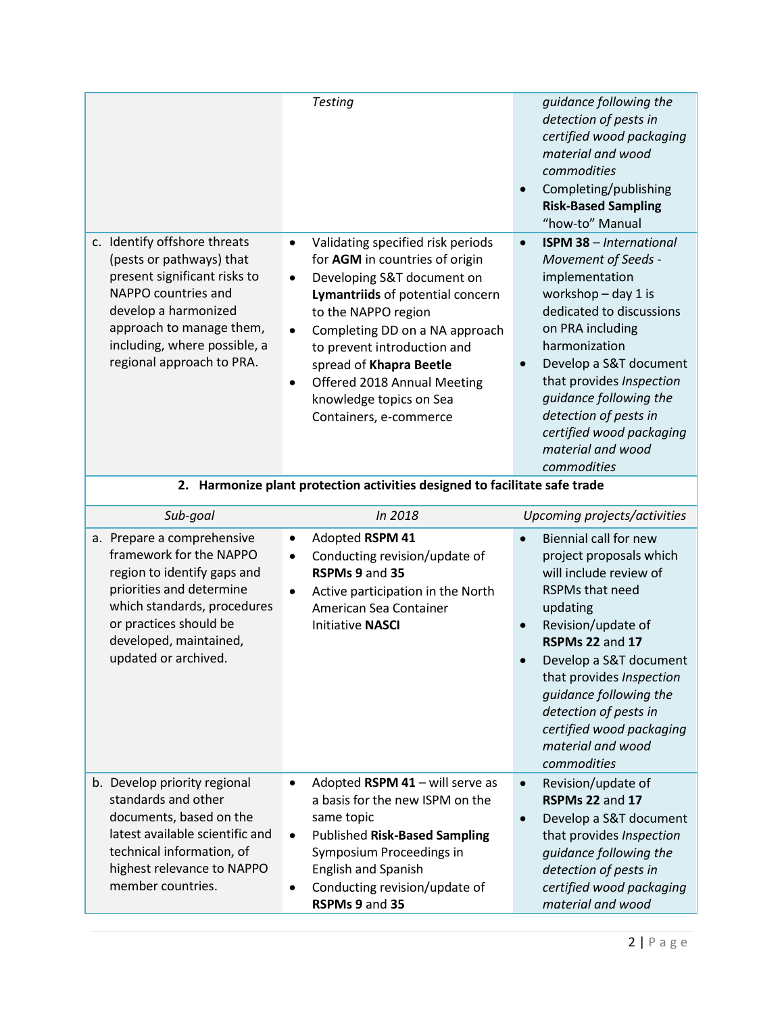|                                                                                                                                                                                                                                  | <b>Testing</b>                                                                                                                                                                                                                                                                                                                                                                      | guidance following the<br>detection of pests in<br>certified wood packaging<br>material and wood<br>commodities<br>Completing/publishing<br>$\bullet$<br><b>Risk-Based Sampling</b><br>"how-to" Manual                                                                                                                                                  |
|----------------------------------------------------------------------------------------------------------------------------------------------------------------------------------------------------------------------------------|-------------------------------------------------------------------------------------------------------------------------------------------------------------------------------------------------------------------------------------------------------------------------------------------------------------------------------------------------------------------------------------|---------------------------------------------------------------------------------------------------------------------------------------------------------------------------------------------------------------------------------------------------------------------------------------------------------------------------------------------------------|
| c. Identify offshore threats<br>(pests or pathways) that<br>present significant risks to<br>NAPPO countries and<br>develop a harmonized<br>approach to manage them,<br>including, where possible, a<br>regional approach to PRA. | Validating specified risk periods<br>$\bullet$<br>for AGM in countries of origin<br>Developing S&T document on<br>$\bullet$<br>Lymantriids of potential concern<br>to the NAPPO region<br>Completing DD on a NA approach<br>to prevent introduction and<br>spread of Khapra Beetle<br>Offered 2018 Annual Meeting<br>$\bullet$<br>knowledge topics on Sea<br>Containers, e-commerce | <b>ISPM 38 - International</b><br>$\bullet$<br>Movement of Seeds -<br>implementation<br>workshop $-$ day 1 is<br>dedicated to discussions<br>on PRA including<br>harmonization<br>Develop a S&T document<br>that provides Inspection<br>quidance following the<br>detection of pests in<br>certified wood packaging<br>material and wood<br>commodities |
| 2. Harmonize plant protection activities designed to facilitate safe trade                                                                                                                                                       |                                                                                                                                                                                                                                                                                                                                                                                     |                                                                                                                                                                                                                                                                                                                                                         |

## **2. Harmonize plant protection activities designed to facilitate safe trade**

| Sub-goal                                                                                                                                                                                                                    | In 2018                                                                                                                                                                                                                                                                      | Upcoming projects/activities                                                                                                                                                                                                                                                                                                                    |
|-----------------------------------------------------------------------------------------------------------------------------------------------------------------------------------------------------------------------------|------------------------------------------------------------------------------------------------------------------------------------------------------------------------------------------------------------------------------------------------------------------------------|-------------------------------------------------------------------------------------------------------------------------------------------------------------------------------------------------------------------------------------------------------------------------------------------------------------------------------------------------|
| a. Prepare a comprehensive<br>framework for the NAPPO<br>region to identify gaps and<br>priorities and determine<br>which standards, procedures<br>or practices should be<br>developed, maintained,<br>updated or archived. | Adopted RSPM 41<br>$\bullet$<br>Conducting revision/update of<br>$\bullet$<br>RSPMs 9 and 35<br>Active participation in the North<br>$\bullet$<br>American Sea Container<br><b>Initiative NASCI</b>                                                                          | Biennial call for new<br>$\bullet$<br>project proposals which<br>will include review of<br><b>RSPMs that need</b><br>updating<br>Revision/update of<br>RSPMs 22 and 17<br>Develop a S&T document<br>that provides Inspection<br>guidance following the<br>detection of pests in<br>certified wood packaging<br>material and wood<br>commodities |
| b. Develop priority regional<br>standards and other<br>documents, based on the<br>latest available scientific and<br>technical information, of<br>highest relevance to NAPPO<br>member countries.                           | Adopted RSPM 41 - will serve as<br>$\bullet$<br>a basis for the new ISPM on the<br>same topic<br><b>Published Risk-Based Sampling</b><br>$\bullet$<br>Symposium Proceedings in<br><b>English and Spanish</b><br>Conducting revision/update of<br>$\bullet$<br>RSPMs 9 and 35 | Revision/update of<br>$\bullet$<br>RSPMs 22 and 17<br>Develop a S&T document<br>that provides Inspection<br>quidance following the<br>detection of pests in<br>certified wood packaging<br>material and wood                                                                                                                                    |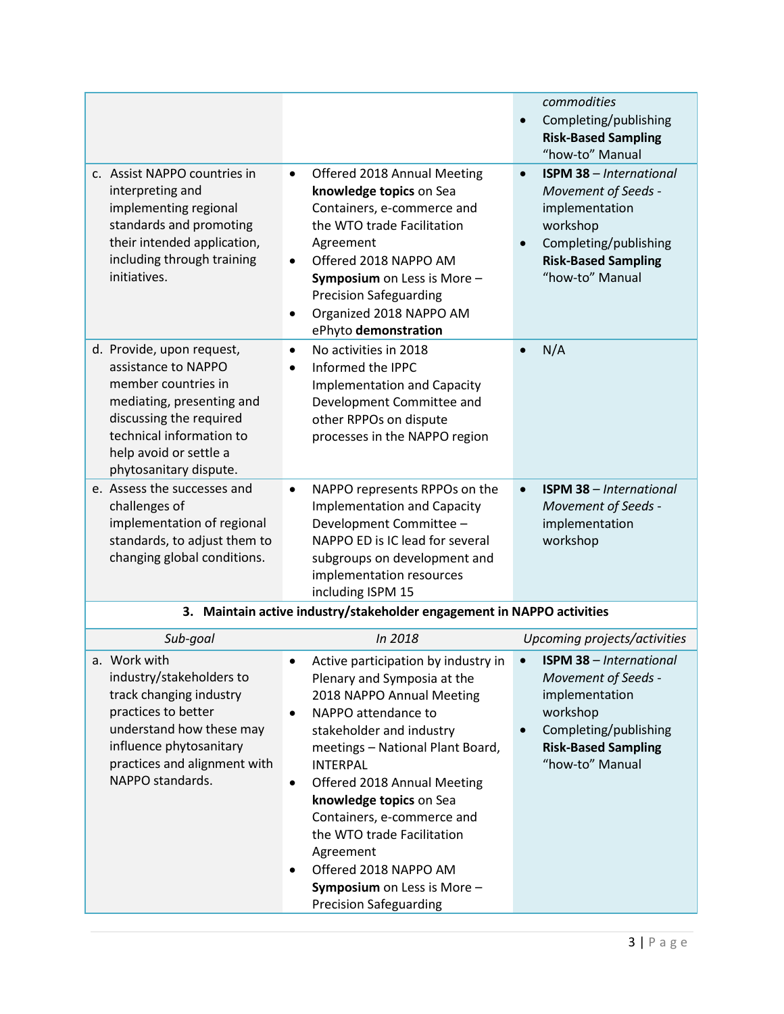|                                                                                                                                                                                                                 |                                                                                                                                                                                                                                                                                                                                                                                                                                                           | commodities                                                                                                                                                                             |
|-----------------------------------------------------------------------------------------------------------------------------------------------------------------------------------------------------------------|-----------------------------------------------------------------------------------------------------------------------------------------------------------------------------------------------------------------------------------------------------------------------------------------------------------------------------------------------------------------------------------------------------------------------------------------------------------|-----------------------------------------------------------------------------------------------------------------------------------------------------------------------------------------|
|                                                                                                                                                                                                                 |                                                                                                                                                                                                                                                                                                                                                                                                                                                           | Completing/publishing<br>$\bullet$<br><b>Risk-Based Sampling</b><br>"how-to" Manual                                                                                                     |
| c. Assist NAPPO countries in<br>interpreting and<br>implementing regional<br>standards and promoting<br>their intended application,<br>including through training<br>initiatives.                               | Offered 2018 Annual Meeting<br>$\bullet$<br>knowledge topics on Sea<br>Containers, e-commerce and<br>the WTO trade Facilitation<br>Agreement<br>Offered 2018 NAPPO AM<br>$\bullet$<br>Symposium on Less is More -<br><b>Precision Safeguarding</b><br>Organized 2018 NAPPO AM<br>$\bullet$<br>ePhyto demonstration                                                                                                                                        | <b>ISPM 38 - International</b><br>$\bullet$<br>Movement of Seeds -<br>implementation<br>workshop<br>Completing/publishing<br>$\bullet$<br><b>Risk-Based Sampling</b><br>"how-to" Manual |
| d. Provide, upon request,<br>assistance to NAPPO<br>member countries in<br>mediating, presenting and<br>discussing the required<br>technical information to<br>help avoid or settle a<br>phytosanitary dispute. | No activities in 2018<br>$\bullet$<br>Informed the IPPC<br>$\bullet$<br><b>Implementation and Capacity</b><br>Development Committee and<br>other RPPOs on dispute<br>processes in the NAPPO region                                                                                                                                                                                                                                                        | N/A<br>$\bullet$                                                                                                                                                                        |
| e. Assess the successes and<br>challenges of<br>implementation of regional<br>standards, to adjust them to<br>changing global conditions.                                                                       | NAPPO represents RPPOs on the<br>$\bullet$<br><b>Implementation and Capacity</b><br>Development Committee -<br>NAPPO ED is IC lead for several<br>subgroups on development and<br>implementation resources<br>including ISPM 15                                                                                                                                                                                                                           | <b>ISPM 38 - International</b><br>$\bullet$<br>Movement of Seeds -<br>implementation<br>workshop                                                                                        |
|                                                                                                                                                                                                                 | 3. Maintain active industry/stakeholder engagement in NAPPO activities                                                                                                                                                                                                                                                                                                                                                                                    |                                                                                                                                                                                         |
| Sub-goal                                                                                                                                                                                                        | In 2018                                                                                                                                                                                                                                                                                                                                                                                                                                                   | Upcoming projects/activities                                                                                                                                                            |
| a. Work with<br>industry/stakeholders to<br>track changing industry<br>practices to better<br>understand how these may<br>influence phytosanitary<br>practices and alignment with<br>NAPPO standards.           | Active participation by industry in .<br>Plenary and Symposia at the<br>2018 NAPPO Annual Meeting<br>NAPPO attendance to<br>$\bullet$<br>stakeholder and industry<br>meetings - National Plant Board,<br><b>INTERPAL</b><br>Offered 2018 Annual Meeting<br>٠<br>knowledge topics on Sea<br>Containers, e-commerce and<br>the WTO trade Facilitation<br>Agreement<br>Offered 2018 NAPPO AM<br>Symposium on Less is More -<br><b>Precision Safeguarding</b> | <b>ISPM 38 - International</b><br>Movement of Seeds -<br>implementation<br>workshop<br>Completing/publishing<br>$\bullet$<br><b>Risk-Based Sampling</b><br>"how-to" Manual              |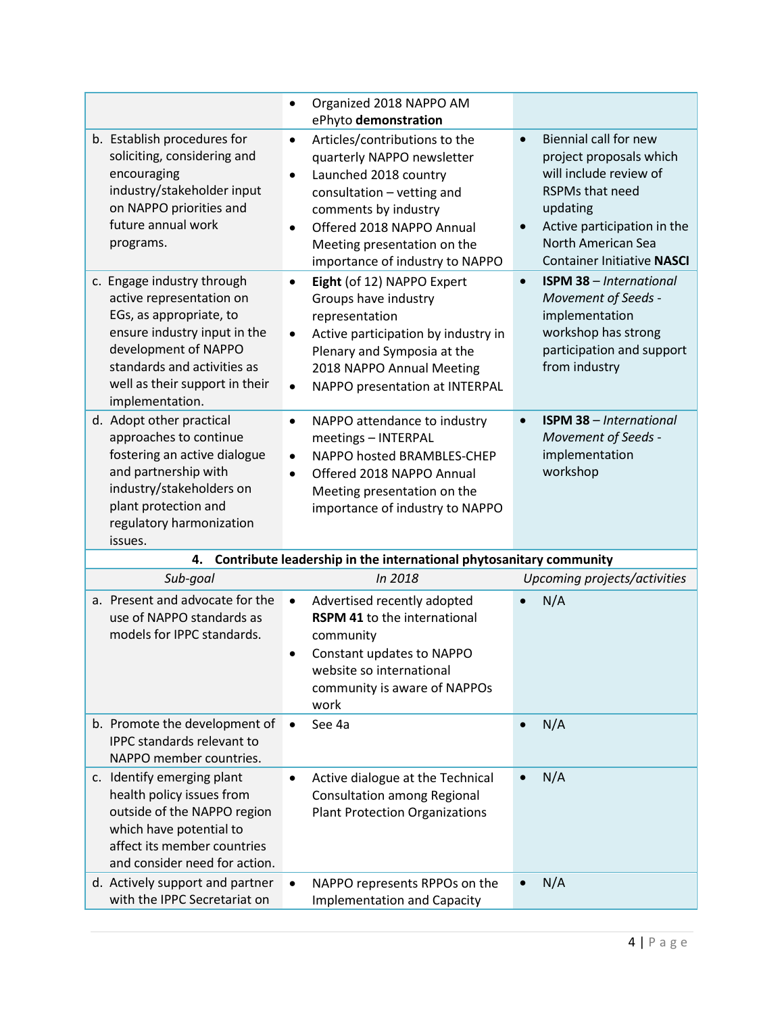|                                                                                                                                                                                                                               | Organized 2018 NAPPO AM<br>$\bullet$<br>ePhyto demonstration                                                                                                                                                                                                        |                                                                                                                                                                                                                                      |
|-------------------------------------------------------------------------------------------------------------------------------------------------------------------------------------------------------------------------------|---------------------------------------------------------------------------------------------------------------------------------------------------------------------------------------------------------------------------------------------------------------------|--------------------------------------------------------------------------------------------------------------------------------------------------------------------------------------------------------------------------------------|
| b. Establish procedures for<br>soliciting, considering and<br>encouraging<br>industry/stakeholder input<br>on NAPPO priorities and<br>future annual work<br>programs.                                                         | Articles/contributions to the<br>$\bullet$<br>quarterly NAPPO newsletter<br>Launched 2018 country<br>$\bullet$<br>consultation - vetting and<br>comments by industry<br>Offered 2018 NAPPO Annual<br>Meeting presentation on the<br>importance of industry to NAPPO | Biennial call for new<br>$\bullet$<br>project proposals which<br>will include review of<br><b>RSPMs that need</b><br>updating<br>Active participation in the<br>$\bullet$<br>North American Sea<br><b>Container Initiative NASCI</b> |
| c. Engage industry through<br>active representation on<br>EGs, as appropriate, to<br>ensure industry input in the<br>development of NAPPO<br>standards and activities as<br>well as their support in their<br>implementation. | Eight (of 12) NAPPO Expert<br>$\bullet$<br>Groups have industry<br>representation<br>Active participation by industry in<br>$\bullet$<br>Plenary and Symposia at the<br>2018 NAPPO Annual Meeting<br>NAPPO presentation at INTERPAL<br>$\bullet$                    | <b>ISPM 38 - International</b><br>$\bullet$<br>Movement of Seeds -<br>implementation<br>workshop has strong<br>participation and support<br>from industry                                                                            |
| d. Adopt other practical<br>approaches to continue<br>fostering an active dialogue<br>and partnership with<br>industry/stakeholders on<br>plant protection and<br>regulatory harmonization<br>issues.                         | NAPPO attendance to industry<br>$\bullet$<br>meetings - INTERPAL<br>NAPPO hosted BRAMBLES-CHEP<br>$\bullet$<br>Offered 2018 NAPPO Annual<br>$\bullet$<br>Meeting presentation on the<br>importance of industry to NAPPO                                             | <b>ISPM 38 - International</b><br>$\bullet$<br>Movement of Seeds -<br>implementation<br>workshop                                                                                                                                     |
| 4.                                                                                                                                                                                                                            | Contribute leadership in the international phytosanitary community                                                                                                                                                                                                  |                                                                                                                                                                                                                                      |
| Sub-goal                                                                                                                                                                                                                      | In 2018                                                                                                                                                                                                                                                             | Upcoming projects/activities                                                                                                                                                                                                         |
| a. Present and advocate for the<br>use of NAPPO standards as<br>models for IPPC standards.                                                                                                                                    | Advertised recently adopted<br>$\bullet$<br>RSPM 41 to the international<br>community<br>Constant updates to NAPPO<br>٠<br>website so international<br>community is aware of NAPPOs<br>work                                                                         | N/A                                                                                                                                                                                                                                  |
| b. Promote the development of<br><b>IPPC</b> standards relevant to<br>NAPPO member countries.                                                                                                                                 | See 4a<br>$\bullet$                                                                                                                                                                                                                                                 | N/A                                                                                                                                                                                                                                  |
| c. Identify emerging plant<br>health policy issues from<br>outside of the NAPPO region<br>which have potential to<br>affect its member countries<br>and consider need for action.                                             | Active dialogue at the Technical<br>$\bullet$<br><b>Consultation among Regional</b><br><b>Plant Protection Organizations</b>                                                                                                                                        | N/A<br>$\bullet$                                                                                                                                                                                                                     |
| d. Actively support and partner<br>with the IPPC Secretariat on                                                                                                                                                               | NAPPO represents RPPOs on the<br>$\bullet$<br><b>Implementation and Capacity</b>                                                                                                                                                                                    | N/A<br>$\bullet$                                                                                                                                                                                                                     |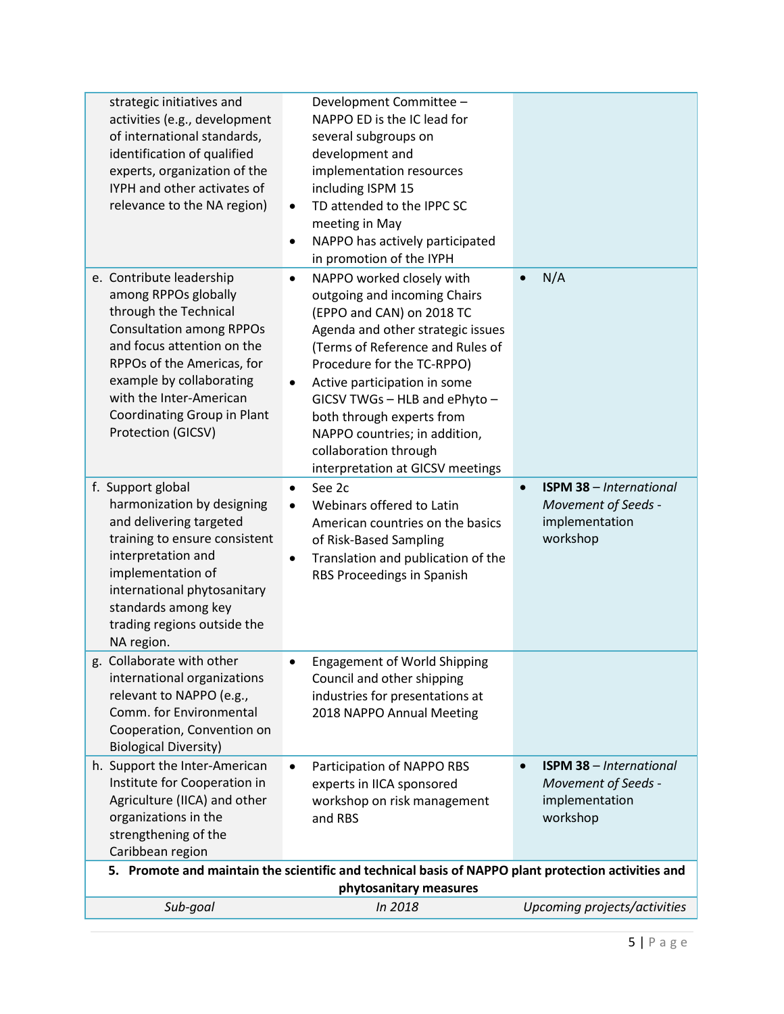| strategic initiatives and<br>activities (e.g., development<br>of international standards,<br>identification of qualified<br>experts, organization of the<br>IYPH and other activates of<br>relevance to the NA region)                                                               | Development Committee -<br>NAPPO ED is the IC lead for<br>several subgroups on<br>development and<br>implementation resources<br>including ISPM 15<br>TD attended to the IPPC SC<br>$\bullet$<br>meeting in May<br>NAPPO has actively participated<br>٠<br>in promotion of the IYPH                                                                                                                         |                                                                                                  |
|--------------------------------------------------------------------------------------------------------------------------------------------------------------------------------------------------------------------------------------------------------------------------------------|-------------------------------------------------------------------------------------------------------------------------------------------------------------------------------------------------------------------------------------------------------------------------------------------------------------------------------------------------------------------------------------------------------------|--------------------------------------------------------------------------------------------------|
| e. Contribute leadership<br>among RPPOs globally<br>through the Technical<br><b>Consultation among RPPOs</b><br>and focus attention on the<br>RPPOs of the Americas, for<br>example by collaborating<br>with the Inter-American<br>Coordinating Group in Plant<br>Protection (GICSV) | NAPPO worked closely with<br>٠<br>outgoing and incoming Chairs<br>(EPPO and CAN) on 2018 TC<br>Agenda and other strategic issues<br>(Terms of Reference and Rules of<br>Procedure for the TC-RPPO)<br>Active participation in some<br>$\bullet$<br>GICSV TWGs - HLB and ePhyto -<br>both through experts from<br>NAPPO countries; in addition,<br>collaboration through<br>interpretation at GICSV meetings | N/A                                                                                              |
| f. Support global<br>harmonization by designing<br>and delivering targeted<br>training to ensure consistent<br>interpretation and<br>implementation of<br>international phytosanitary<br>standards among key<br>trading regions outside the<br>NA region.                            | See 2c<br>$\bullet$<br>Webinars offered to Latin<br>$\bullet$<br>American countries on the basics<br>of Risk-Based Sampling<br>Translation and publication of the<br>$\bullet$<br>RBS Proceedings in Spanish                                                                                                                                                                                                | <b>ISPM 38 - International</b><br>$\bullet$<br>Movement of Seeds -<br>implementation<br>workshop |
| g. Collaborate with other<br>international organizations<br>relevant to NAPPO (e.g.,<br>Comm. for Environmental<br>Cooperation, Convention on<br><b>Biological Diversity)</b>                                                                                                        | <b>Engagement of World Shipping</b><br>Council and other shipping<br>industries for presentations at<br>2018 NAPPO Annual Meeting                                                                                                                                                                                                                                                                           |                                                                                                  |
| h. Support the Inter-American<br>Institute for Cooperation in<br>Agriculture (IICA) and other<br>organizations in the<br>strengthening of the<br>Caribbean region                                                                                                                    | Participation of NAPPO RBS<br>$\bullet$<br>experts in IICA sponsored<br>workshop on risk management<br>and RBS                                                                                                                                                                                                                                                                                              | <b>ISPM 38 - International</b><br>$\bullet$<br>Movement of Seeds -<br>implementation<br>workshop |
| 5. Promote and maintain the scientific and technical basis of NAPPO plant protection activities and<br>phytosanitary measures                                                                                                                                                        |                                                                                                                                                                                                                                                                                                                                                                                                             |                                                                                                  |
| Sub-goal                                                                                                                                                                                                                                                                             | In 2018                                                                                                                                                                                                                                                                                                                                                                                                     | Upcoming projects/activities                                                                     |